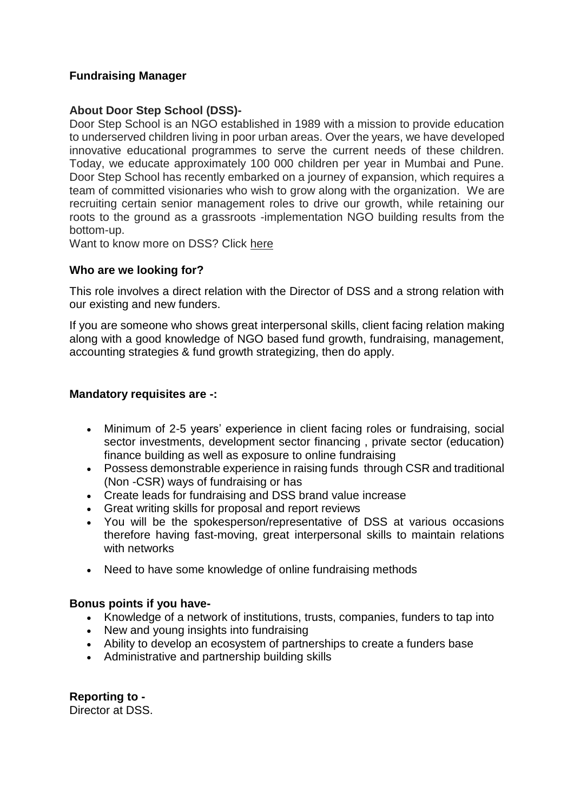# **Fundraising Manager**

# **About Door Step School (DSS)-**

Door Step School is an NGO established in 1989 with a mission to provide education to underserved children living in poor urban areas. Over the years, we have developed innovative educational programmes to serve the current needs of these children. Today, we educate approximately 100 000 children per year in Mumbai and Pune. Door Step School has recently embarked on a journey of expansion, which requires a team of committed visionaries who wish to grow along with the organization. We are recruiting certain senior management roles to drive our growth, while retaining our roots to the ground as a grassroots -implementation NGO building results from the bottom-up.

Want to know more on DSS? Click [here](https://doorstepschool.org/mumbai/about-us/)

## **Who are we looking for?**

This role involves a direct relation with the Director of DSS and a strong relation with our existing and new funders.

If you are someone who shows great interpersonal skills, client facing relation making along with a good knowledge of NGO based fund growth, fundraising, management, accounting strategies & fund growth strategizing, then do apply.

#### **Mandatory requisites are -:**

- Minimum of 2-5 years' experience in client facing roles or fundraising, social sector investments, development sector financing , private sector (education) finance building as well as exposure to online fundraising
- Possess demonstrable experience in raising funds through CSR and traditional (Non -CSR) ways of fundraising or has
- Create leads for fundraising and DSS brand value increase
- Great writing skills for proposal and report reviews
- You will be the spokesperson/representative of DSS at various occasions therefore having fast-moving, great interpersonal skills to maintain relations with networks
- Need to have some knowledge of online fundraising methods

## **Bonus points if you have-**

- Knowledge of a network of institutions, trusts, companies, funders to tap into
- New and young insights into fundraising
- Ability to develop an ecosystem of partnerships to create a funders base
- Administrative and partnership building skills

**Reporting to -** Director at DSS.